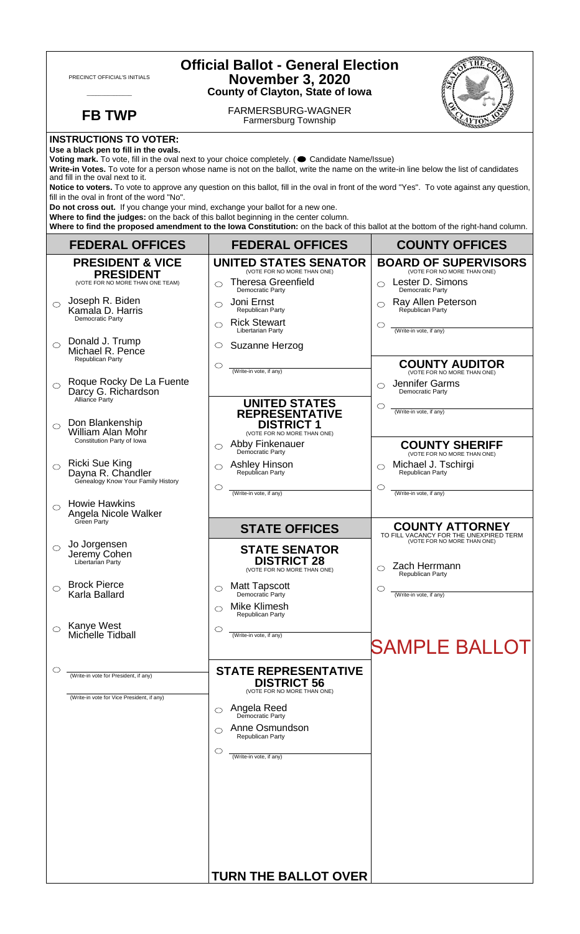| <b>Official Ballot - General Election</b><br><b>November 3, 2020</b><br>PRECINCT OFFICIAL'S INITIALS<br><b>County of Clayton, State of Iowa</b>                                                                                                                                                                                                                                                                                                                                                                                                                                                                                                                                                                                                                                                                                                                      |                                                                                                                                                                                                                                           |                                                                                                                                                                 |  |
|----------------------------------------------------------------------------------------------------------------------------------------------------------------------------------------------------------------------------------------------------------------------------------------------------------------------------------------------------------------------------------------------------------------------------------------------------------------------------------------------------------------------------------------------------------------------------------------------------------------------------------------------------------------------------------------------------------------------------------------------------------------------------------------------------------------------------------------------------------------------|-------------------------------------------------------------------------------------------------------------------------------------------------------------------------------------------------------------------------------------------|-----------------------------------------------------------------------------------------------------------------------------------------------------------------|--|
| <b>FB TWP</b>                                                                                                                                                                                                                                                                                                                                                                                                                                                                                                                                                                                                                                                                                                                                                                                                                                                        | FARMERSBURG-WAGNER<br><b>Farmersburg Township</b>                                                                                                                                                                                         |                                                                                                                                                                 |  |
| <b>INSTRUCTIONS TO VOTER:</b><br>Use a black pen to fill in the ovals.<br>Voting mark. To vote, fill in the oval next to your choice completely. ( Candidate Name/Issue)<br>Write-in Votes. To vote for a person whose name is not on the ballot, write the name on the write-in line below the list of candidates<br>and fill in the oval next to it.<br>Notice to voters. To vote to approve any question on this ballot, fill in the oval in front of the word "Yes". To vote against any question,<br>fill in the oval in front of the word "No".<br>Do not cross out. If you change your mind, exchange your ballot for a new one.<br>Where to find the judges: on the back of this ballot beginning in the center column.<br>Where to find the proposed amendment to the lowa Constitution: on the back of this ballot at the bottom of the right-hand column. |                                                                                                                                                                                                                                           |                                                                                                                                                                 |  |
| <b>FEDERAL OFFICES</b>                                                                                                                                                                                                                                                                                                                                                                                                                                                                                                                                                                                                                                                                                                                                                                                                                                               | <b>FEDERAL OFFICES</b>                                                                                                                                                                                                                    | <b>COUNTY OFFICES</b>                                                                                                                                           |  |
| <b>PRESIDENT &amp; VICE</b><br><b>PRESIDENT</b><br>(VOTE FOR NO MORE THAN ONE TEAM)<br>Joseph R. Biden<br>◯<br>Kamala D. Harris                                                                                                                                                                                                                                                                                                                                                                                                                                                                                                                                                                                                                                                                                                                                      | <b>UNITED STATES SENATOR</b><br>(VOTE FOR NO MORE THAN ONE)<br><b>Theresa Greenfield</b><br>◯<br>Democratic Party<br>Joni Ernst<br>⌒<br>Republican Party                                                                                  | <b>BOARD OF SUPERVISORS</b><br>(VOTE FOR NO MORE THAN ONE)<br>Lester D. Simons<br>$\bigcirc$<br>Democratic Party<br>Ray Allen Peterson<br>◯<br>Republican Party |  |
| Democratic Party<br>Donald J. Trump<br>$\bigcirc$<br>Michael R. Pence<br>Republican Party                                                                                                                                                                                                                                                                                                                                                                                                                                                                                                                                                                                                                                                                                                                                                                            | <b>Rick Stewart</b><br>◯<br>Libertarian Party<br>Suzanne Herzog<br>$\circ$<br>$\circlearrowright$<br>(Write-in vote, if any)                                                                                                              | O<br>(Write-in vote, if any)<br><b>COUNTY AUDITOR</b><br>(VOTE FOR NO MORE THAN ONE)                                                                            |  |
| Roque Rocky De La Fuente<br>$\circ$<br>Darcy G. Richardson<br>Alliance Party<br>Don Blankenship                                                                                                                                                                                                                                                                                                                                                                                                                                                                                                                                                                                                                                                                                                                                                                      | <b>UNITED STATES</b><br><b>REPRESENTATIVE</b><br><b>DISTRICT 1</b>                                                                                                                                                                        | Jennifer Garms<br>◯<br>Democratic Party<br>O<br>(Write-in vote, if any)                                                                                         |  |
| <b>William Alan Mohr</b><br>Constitution Party of Iowa<br><b>Ricki Sue King</b><br>Dayna R. Chandler                                                                                                                                                                                                                                                                                                                                                                                                                                                                                                                                                                                                                                                                                                                                                                 | (VOTE FOR NO MORE THAN ONE)<br>Abby Finkenauer<br>⌒<br>Democratic Party<br>Ashley Hinson<br>Republican Party<br>⌒                                                                                                                         | <b>COUNTY SHERIFF</b><br>(VOTE FOR NO MORE THAN ONE)<br>Michael J. Tschirgi<br>Republican Party                                                                 |  |
| Genealogy Know Your Family History<br><b>Howie Hawkins</b><br>◯<br>Angela Nicole Walker<br>Green Party                                                                                                                                                                                                                                                                                                                                                                                                                                                                                                                                                                                                                                                                                                                                                               | $\circlearrowright$<br>(Write-in vote, if any)                                                                                                                                                                                            | $\circlearrowright$<br>(Write-in vote, if any)                                                                                                                  |  |
| Jo Jorgensen<br>$\circ$<br>Jeremy Cohen<br>Libertarian Party                                                                                                                                                                                                                                                                                                                                                                                                                                                                                                                                                                                                                                                                                                                                                                                                         | <b>STATE OFFICES</b><br><b>STATE SENATOR</b><br><b>DISTRICT 28</b><br>(VOTE FOR NO MORE THAN ONE)                                                                                                                                         | <b>COUNTY ATTORNEY</b><br>TO FILL VACANCY FOR THE UNEXPIRED TERM<br>(VOTE FOR NO MORE THAN ONE)<br>Zach Herrmann<br>Republican Party                            |  |
| <b>Brock Pierce</b><br>Karla Ballard                                                                                                                                                                                                                                                                                                                                                                                                                                                                                                                                                                                                                                                                                                                                                                                                                                 | <b>Matt Tapscott</b><br>O<br>Democratic Party<br>Mike Klimesh<br><b>Republican Party</b>                                                                                                                                                  | C<br>(Write-in vote, if any)                                                                                                                                    |  |
| Kanye West<br>Michelle Tidball                                                                                                                                                                                                                                                                                                                                                                                                                                                                                                                                                                                                                                                                                                                                                                                                                                       | $\circlearrowright$<br>(Write-in vote, if any)                                                                                                                                                                                            | <b>SAMPLE BALLOT</b>                                                                                                                                            |  |
| (Write-in vote for President, if any)<br>(Write-in vote for Vice President, if any)                                                                                                                                                                                                                                                                                                                                                                                                                                                                                                                                                                                                                                                                                                                                                                                  | <b>STATE REPRESENTATIVE</b><br><b>DISTRICT 56</b><br>(VOTE FOR NO MORE THAN ONE)<br><b>Angela Reed</b><br>Democratic Party<br>◯<br>Anne Osmundson<br>⌒<br>Republican Party<br>O<br>(Write-in vote, if any)<br><b>TURN THE BALLOT OVER</b> |                                                                                                                                                                 |  |